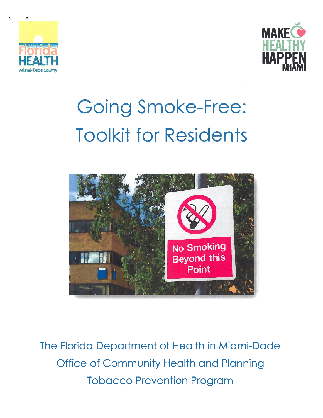



# **Going Smoke-Free: Toolkit for Residents**



The Florida Department of Health in Miami-Dade **Office of Community Health and Planning Tobacco Prevention Program**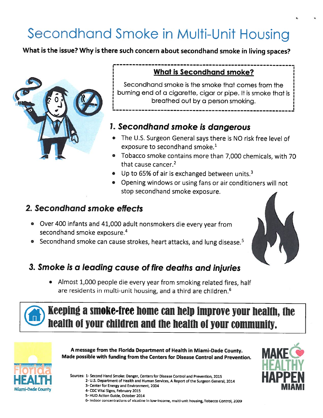## Secondhand Smoke in Multi-Unit Housing

What is the issue? Why is there such concern about secondhand smoke in living spaces?



### What is Secondhand smoke?

Secondhand smoke is the smoke that comes from the burning end of <sup>a</sup> cigarette, cigar or <sup>p</sup>ipe. It is smoke that is breathed out by <sup>a</sup> person smoking.

## 1. Secondhand smoke is dangerous

- The U.S. Surgeon General says there is NO risk free level of exposure to secondhand smoke.<sup>1</sup>
- Tobacco smoke contains more than 7,000 chemicals, with 70 that cause cancer.<sup>2</sup>
- $\bullet$  Up to 65% of air is exchanged between units.<sup>3</sup>
- Opening windows or using fans or air conditioners will not stop secondhand smoke exposure.

## 2. Secondhand smoke effects

- Over <sup>400</sup> infants and 41,000 adult nonsmokers die every year from secondhand smoke exposure. 4
- Secondhand smoke can cause strokes, heart attacks, and lung disease.<sup>5</sup>

## 3. Smoke is <sup>a</sup> leading cause of fire deaths and injuries

• Almost 1,000 people die every year from smoking related fires, half are residents in multi-unit housing, and <sup>a</sup> third are children. 6



## Keeping <sup>a</sup> smoke-free home can help improve your heallh, the health of your children and the health of your community.



<sup>A</sup> message from the Florida Department of Health in Miami-Dade county. Made possible with funding from the Centers for Disease Control and Prevention.

Sources: 1-Second Hand Smoke: Danger, Centers for Disease Control and Prevention, <sup>2015</sup>

2- U.S. Department of Health and Human Services, <sup>A</sup> Report of the Surgeon General, <sup>2014</sup>



4- CDC Vital Signs, February 2015



6- Indoor concentrations of nicotine in low-income, multi-unit housing, Tobacco Control, <sup>2009</sup>



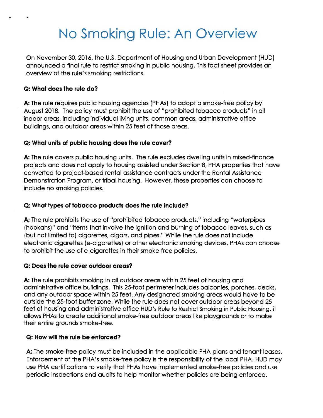## No Smoking Rule: An Overview

On November 30, 2016, the U.S. Department of Housing and Urban Development (HUD) announced <sup>a</sup> final rule to restrict smoking in public housing. This fact sheet provides an overview of the rule's smoking restrictions.

#### Q: What does the rule do?

S

A: The rule requires public housing agencies (PHA5) to adopt <sup>a</sup> smoke-free policy by August 2018. The policy must prohibit the use of "prohibited tobacco products" in all indoor areas, including individual living units, common areas, administrative office buildings, and outdoor areas within 25 feet of those areas.

#### Q: What units of public housing does the rule cover?

A: The rule covers public housing units. The rule excludes dwelling units in mixed-finance projects and does not apply to housing assisted under Section 8, PHA properties that have converted to project-based rental assistance contracts under the Rental Assistance Demonstration Program, or tribal housing. However, these properties can choose to include no smoking policies.

#### Q: What types of tobacco products does the rule include?

A: The rule prohibits the use of "prohibited tobacco products," including "waterpipes (hookahs)" and "items that involve the ignition and burning of tobacco leaves, such as (but not limited to) cigarettes, cigars, and pipes." While the rule does not include electronic cigarettes (e-cigarettes) or other electronic smoking devices, PHAs can choose to prohibit the use of e-cigarettes in their smoke-free policies.

#### Q: Does the rule cover outdoor areas?

A: The rule prohibits smoking in all outdoor areas within 25 feet of housing and administrative office buildings. This 25-foot perimeter includes balconies, porches, decks, and any outdoor space within 25 feet. Any designated smoking areas would have to be outside the 25-foot buffer zone. While the rule does not cover outdoor areas beyond 25 feet of housing and administrative office HUD's Rule to Restrict Smoking in Public Housing, it allows PHA5 to create additional smoke-free outdoor areas like playgrounds or to make their entire grounds smoke-free.

#### Q: How will the rule be enforced?

A: The smoke-free policy must be included in the applicable PHA plans and tenant leases. Enforcement of the PHA's smoke-free policy is the responsibility of the local PHA. HUD may use PHA certifications to verify that PHAs have implemented smoke-free policies and use periodic inspections and audits to help monitor whether policies are being enforced.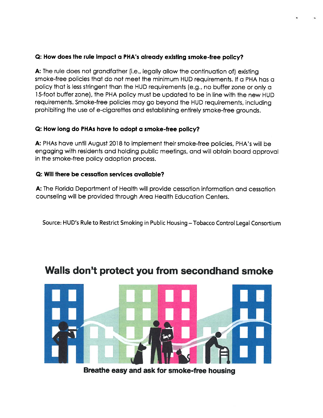#### Q: How does the rule impact <sup>a</sup> PHA's already existing smoke-free policy?

A: The rule does not grandfather (i.e., legally allow the continuation of) existing smoke-free policies that do not meet the minimum HUD requirements. If <sup>a</sup> PHA has <sup>a</sup> policy that is less stringent than the HUD requirements (e.g., no buffer zone or only <sup>a</sup> 15-foot buffer zone), the PHA policy must be updated to be in line with the new HUD requirements. Smoke-free policies may go beyond the HUD requirements, including prohibiting the use of e-cigarettes and establishing entirely smoke-free grounds.

#### Q: How long do PHAs have to adopt <sup>a</sup> smoke-free policy?

A: PHAs have until August 2018 to implement their smoke-free policies, PHA's will be engaging with residents and holding public meetings, and will obtain board approva<sup>l</sup> in the smoke-free policy adoption process.

#### Q: Will there be cessation services available?

A: The Florida Department of Health will provide cessation information and cessation counseling will be provided through Area Health Education Centers.

Source: HUD's Rule to Restrict Smoking in Public Housing – Tobacco Control Legal Consortium

## Walls don't protect you from secondhand smoke



Breathe easy and ask for smoke-free housing